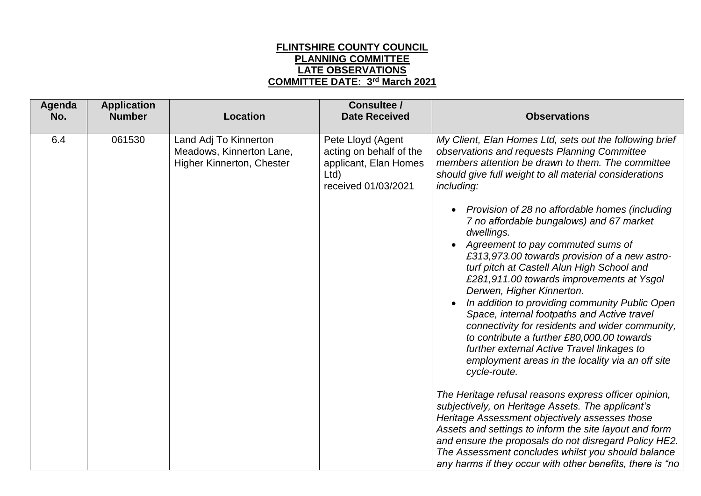## **FLINTSHIRE COUNTY COUNCIL PLANNING COMMITTEE LATE OBSERVATIONS COMMITTEE DATE: 3 rd March 2021**

| Agenda<br>No. | <b>Application</b><br><b>Number</b> | <b>Location</b>                                                                       | <b>Consultee /</b><br><b>Date Received</b>                                                          | <b>Observations</b>                                                                                                                                                                                                                                                                                                                                                                                                                                                                                                                                                                                                                                                  |
|---------------|-------------------------------------|---------------------------------------------------------------------------------------|-----------------------------------------------------------------------------------------------------|----------------------------------------------------------------------------------------------------------------------------------------------------------------------------------------------------------------------------------------------------------------------------------------------------------------------------------------------------------------------------------------------------------------------------------------------------------------------------------------------------------------------------------------------------------------------------------------------------------------------------------------------------------------------|
| 6.4           | 061530                              | Land Adj To Kinnerton<br>Meadows, Kinnerton Lane,<br><b>Higher Kinnerton, Chester</b> | Pete Lloyd (Agent<br>acting on behalf of the<br>applicant, Elan Homes<br>Ltd<br>received 01/03/2021 | My Client, Elan Homes Ltd, sets out the following brief<br>observations and requests Planning Committee<br>members attention be drawn to them. The committee<br>should give full weight to all material considerations<br>including:                                                                                                                                                                                                                                                                                                                                                                                                                                 |
|               |                                     |                                                                                       |                                                                                                     | Provision of 28 no affordable homes (including<br>$\bullet$<br>7 no affordable bungalows) and 67 market<br>dwellings.<br>Agreement to pay commuted sums of<br>$\bullet$<br>£313,973.00 towards provision of a new astro-<br>turf pitch at Castell Alun High School and<br>£281,911.00 towards improvements at Ysgol<br>Derwen, Higher Kinnerton.<br>In addition to providing community Public Open<br>Space, internal footpaths and Active travel<br>connectivity for residents and wider community,<br>to contribute a further £80,000.00 towards<br>further external Active Travel linkages to<br>employment areas in the locality via an off site<br>cycle-route. |
|               |                                     |                                                                                       |                                                                                                     | The Heritage refusal reasons express officer opinion,<br>subjectively, on Heritage Assets. The applicant's<br>Heritage Assessment objectively assesses those<br>Assets and settings to inform the site layout and form<br>and ensure the proposals do not disregard Policy HE2.<br>The Assessment concludes whilst you should balance<br>any harms if they occur with other benefits, there is "no                                                                                                                                                                                                                                                                   |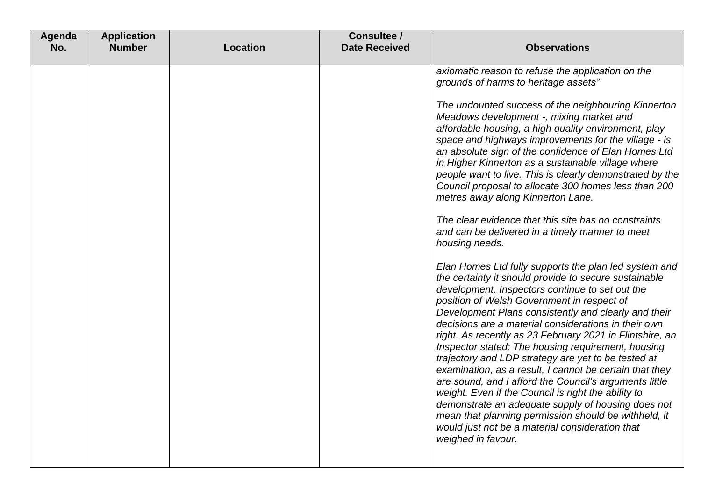| Agenda<br>No. | <b>Application</b><br><b>Number</b> | <b>Location</b> | Consultee /<br><b>Date Received</b> | <b>Observations</b>                                                                                                                                                                                                                                                                                                                                                                                                                                                                                                                                                                                                                                                                                                                                                                                                                                                                                                                                                                                                                                                                                                                                                                                                                                                                                                                                                                                                                                                                                                                                                                             |
|---------------|-------------------------------------|-----------------|-------------------------------------|-------------------------------------------------------------------------------------------------------------------------------------------------------------------------------------------------------------------------------------------------------------------------------------------------------------------------------------------------------------------------------------------------------------------------------------------------------------------------------------------------------------------------------------------------------------------------------------------------------------------------------------------------------------------------------------------------------------------------------------------------------------------------------------------------------------------------------------------------------------------------------------------------------------------------------------------------------------------------------------------------------------------------------------------------------------------------------------------------------------------------------------------------------------------------------------------------------------------------------------------------------------------------------------------------------------------------------------------------------------------------------------------------------------------------------------------------------------------------------------------------------------------------------------------------------------------------------------------------|
|               |                                     |                 |                                     | axiomatic reason to refuse the application on the<br>grounds of harms to heritage assets"<br>The undoubted success of the neighbouring Kinnerton<br>Meadows development -, mixing market and<br>affordable housing, a high quality environment, play<br>space and highways improvements for the village - is<br>an absolute sign of the confidence of Elan Homes Ltd<br>in Higher Kinnerton as a sustainable village where<br>people want to live. This is clearly demonstrated by the<br>Council proposal to allocate 300 homes less than 200<br>metres away along Kinnerton Lane.<br>The clear evidence that this site has no constraints<br>and can be delivered in a timely manner to meet<br>housing needs.<br>Elan Homes Ltd fully supports the plan led system and<br>the certainty it should provide to secure sustainable<br>development. Inspectors continue to set out the<br>position of Welsh Government in respect of<br>Development Plans consistently and clearly and their<br>decisions are a material considerations in their own<br>right. As recently as 23 February 2021 in Flintshire, an<br>Inspector stated: The housing requirement, housing<br>trajectory and LDP strategy are yet to be tested at<br>examination, as a result, I cannot be certain that they<br>are sound, and I afford the Council's arguments little<br>weight. Even if the Council is right the ability to<br>demonstrate an adequate supply of housing does not<br>mean that planning permission should be withheld, it<br>would just not be a material consideration that<br>weighed in favour. |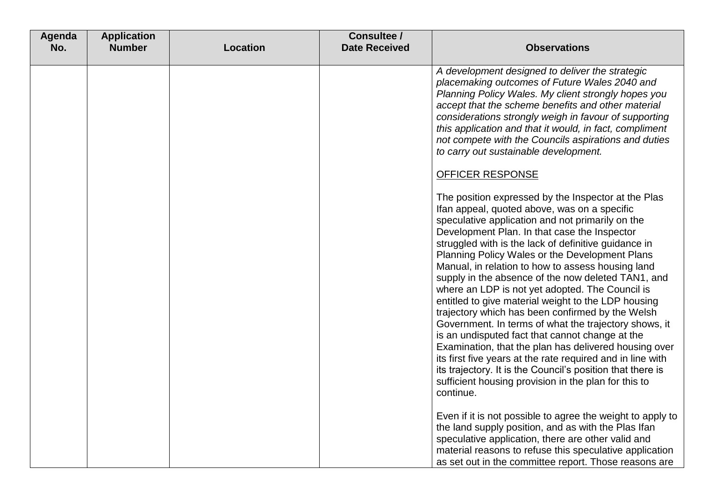| Agenda<br>No. | <b>Application</b><br><b>Number</b> | <b>Location</b> | Consultee /<br><b>Date Received</b> | <b>Observations</b>                                                                                                                                                                                                                                                                                                                                                                                                                                                                                                                                                                                                                                                                                                                                                                                                                                                                                                                                              |
|---------------|-------------------------------------|-----------------|-------------------------------------|------------------------------------------------------------------------------------------------------------------------------------------------------------------------------------------------------------------------------------------------------------------------------------------------------------------------------------------------------------------------------------------------------------------------------------------------------------------------------------------------------------------------------------------------------------------------------------------------------------------------------------------------------------------------------------------------------------------------------------------------------------------------------------------------------------------------------------------------------------------------------------------------------------------------------------------------------------------|
|               |                                     |                 |                                     | A development designed to deliver the strategic<br>placemaking outcomes of Future Wales 2040 and<br>Planning Policy Wales. My client strongly hopes you<br>accept that the scheme benefits and other material<br>considerations strongly weigh in favour of supporting<br>this application and that it would, in fact, compliment<br>not compete with the Councils aspirations and duties<br>to carry out sustainable development.                                                                                                                                                                                                                                                                                                                                                                                                                                                                                                                               |
|               |                                     |                 |                                     | <b>OFFICER RESPONSE</b>                                                                                                                                                                                                                                                                                                                                                                                                                                                                                                                                                                                                                                                                                                                                                                                                                                                                                                                                          |
|               |                                     |                 |                                     | The position expressed by the Inspector at the Plas<br>Ifan appeal, quoted above, was on a specific<br>speculative application and not primarily on the<br>Development Plan. In that case the Inspector<br>struggled with is the lack of definitive guidance in<br>Planning Policy Wales or the Development Plans<br>Manual, in relation to how to assess housing land<br>supply in the absence of the now deleted TAN1, and<br>where an LDP is not yet adopted. The Council is<br>entitled to give material weight to the LDP housing<br>trajectory which has been confirmed by the Welsh<br>Government. In terms of what the trajectory shows, it<br>is an undisputed fact that cannot change at the<br>Examination, that the plan has delivered housing over<br>its first five years at the rate required and in line with<br>its trajectory. It is the Council's position that there is<br>sufficient housing provision in the plan for this to<br>continue. |
|               |                                     |                 |                                     | Even if it is not possible to agree the weight to apply to<br>the land supply position, and as with the Plas Ifan<br>speculative application, there are other valid and<br>material reasons to refuse this speculative application<br>as set out in the committee report. Those reasons are                                                                                                                                                                                                                                                                                                                                                                                                                                                                                                                                                                                                                                                                      |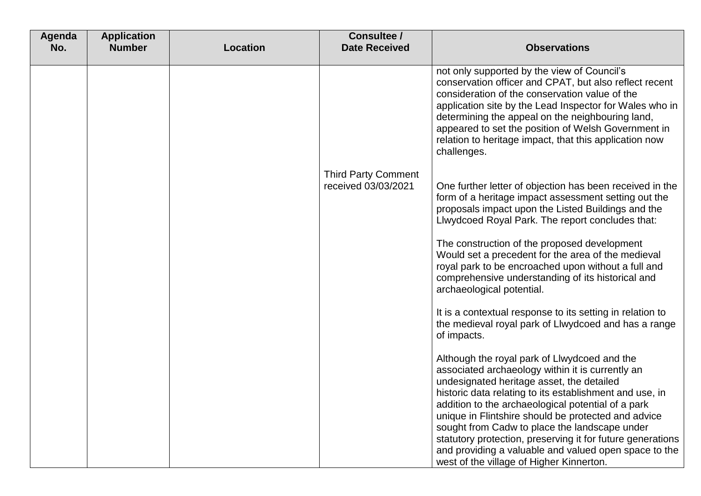| Agenda<br>No. | <b>Application</b><br><b>Number</b> | <b>Location</b> | Consultee /<br><b>Date Received</b>               | <b>Observations</b>                                                                                                                                                                                                                                                                                                                                                                                                                  |
|---------------|-------------------------------------|-----------------|---------------------------------------------------|--------------------------------------------------------------------------------------------------------------------------------------------------------------------------------------------------------------------------------------------------------------------------------------------------------------------------------------------------------------------------------------------------------------------------------------|
|               |                                     |                 |                                                   | not only supported by the view of Council's<br>conservation officer and CPAT, but also reflect recent<br>consideration of the conservation value of the<br>application site by the Lead Inspector for Wales who in<br>determining the appeal on the neighbouring land,<br>appeared to set the position of Welsh Government in<br>relation to heritage impact, that this application now<br>challenges.                               |
|               |                                     |                 | <b>Third Party Comment</b><br>received 03/03/2021 | One further letter of objection has been received in the<br>form of a heritage impact assessment setting out the<br>proposals impact upon the Listed Buildings and the<br>Llwydcoed Royal Park. The report concludes that:                                                                                                                                                                                                           |
|               |                                     |                 |                                                   | The construction of the proposed development<br>Would set a precedent for the area of the medieval<br>royal park to be encroached upon without a full and<br>comprehensive understanding of its historical and<br>archaeological potential.                                                                                                                                                                                          |
|               |                                     |                 |                                                   | It is a contextual response to its setting in relation to<br>the medieval royal park of Llwydcoed and has a range<br>of impacts.                                                                                                                                                                                                                                                                                                     |
|               |                                     |                 |                                                   | Although the royal park of Llwydcoed and the<br>associated archaeology within it is currently an<br>undesignated heritage asset, the detailed<br>historic data relating to its establishment and use, in<br>addition to the archaeological potential of a park<br>unique in Flintshire should be protected and advice<br>sought from Cadw to place the landscape under<br>statutory protection, preserving it for future generations |
|               |                                     |                 |                                                   | and providing a valuable and valued open space to the<br>west of the village of Higher Kinnerton.                                                                                                                                                                                                                                                                                                                                    |